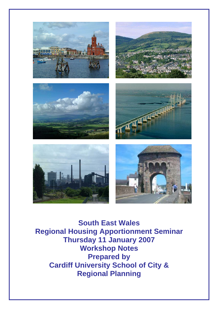

**South East Wales Regional Housing Apportionment Seminar Thursday 11 January 2007 Workshop Notes Prepared by Cardiff University School of City & Regional Planning**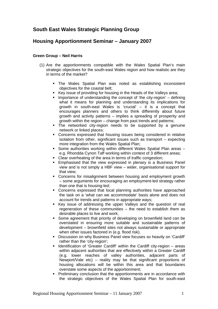# **South East Wales Strategic Planning Group**

## **Housing Apportionment Seminar – January 2007**

## **Green Group – Neil Harris**

- (1) Are the apportionments compatible with the Wales Spatial Plan's main strategic objectives for the south-east Wales region and how realistic are they in terms of the market?
	- The Wales Spatial Plan was noted as establishing inconsistent objectives for the coastal belt;
	- Key issue of providing for housing in the Heads of the Valleys area;
	- **IMPORTANCE OF UNDERTY INCOCOCOLY Interest in the concept of 'the city-region'**  $-$  defining what it means for planning and understanding its implications for growth in south-east Wales is 'crucial' – it is a concept that encourages planners and others to think differently about future growth and activity patterns – implies a spreading of prosperity and growth within the region – change from past trends and patterns;
	- The networked city-region needs to be supported by a genuine network or linked places;
	- Concerns expressed that housing issues being considered in relative isolation from other, significant issues such as transport – expecting more integration from the Wales Spatial Plan;
	- Some authorities working within different Wales Spatial Plan areas e.g. Rhondda Cynon Taff working within context of 3 different areas;
	- Clear overheating of the area in terms of traffic congestion;
	- **Emphasised that the view expressed in plenary is a Business Panel** view and is not simply a HBF view – wider, organisational support for that view;
	- Concerns for misalignment between housing and employment growth – some arguments for encouraging an employment-led strategy rather than one that is housing-led;
	- Concerns expressed that local planning authorities have approached the task on a 'what can we accommodate' basis alone and does not account for trends and patterns in appropriate ways;
	- Key issue of addressing the upper Valleys and the question of real regeneration of these communities – the need to establish them as desirable places to live and work;
	- Some agreement that priority of developing on brownfield land can be overstated in ensuring more suitable and sustainable patterns of development – brownfield sites not always sustainable or appropriate when other issues factored in (e.g. flood risk).
	- Discussion on why Business Panel view focuses so heavily on 'Cardiff' rather than the 'city-region';
	- **IDENT** Identification of 'Greater Cardiff' within the Cardiff city-region  $-$  areas within adjacent authorities that are effectively within a Greater Cardiff (e.g. lower reaches of valley authorities, adjacent parts of Newport/Vale etc) – reality may be that significant proportions of housing allocations will be within this area and that boundaries overstate some aspects of the apportionment;
	- **Preliminary conclusion that the apportionments are in accordance with** the strategic objectives of the Wales Spatial Plan for south-east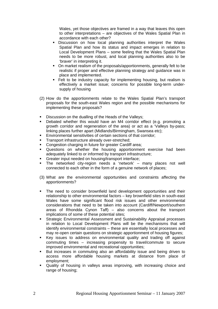Wales, yet those objectives are framed in a way that leaves this open to other interpretations – are objectives of the Wales Spatial Plan in accordance with each other?

- **Discussion on how local planning authorities interpret the Wales** Spatial Plan and how its status and impact emerges in relation to Local Development Plans – some feeling that the Wales Spatial Plan needs to be more robust, and local planning authorities also to be 'braver' in interpreting it.
- On market realism of the proposals/apportionments, generally felt to be realistic if proper and effective planning strategy and guidance was in place and implemented.
- Felt to be industry capacity for implementing housing, but realism is effectively a market issue; concerns for possible long-term undersupply of housing
- (2) How do the apportionments relate to the Wales Spatial Plan's transport proposals for the south-east Wales region and the possible mechanisms for implementing these proposals?
- Discussion on the dualling of the Heads of the Valleys;
- Debated whether this would have an M4 corridor effect (e.g. promoting a growth corridor and regeneration of the area) or act as a 'Valleys by-pass; linking places further apart (Midlands/Birmingham, Swansea etc);
- **Environmental sensitivities of certain sections of that corridor;**
- Transport infrastructure already over-stretched;
- Congestion charging in future for greater Cardiff area;
- **-** Questions on whether the housing apportionment exercise had been adequately linked to or informed by transport infrastructure;
- Greater input needed on housing/transport interface;
- The networked city-region needs a 'network' many places not well connected to each other in the form of a genuine network of places;
- (3) What are the environmental opportunities and constraints affecting the apportionments?
- The need to consider brownfield land development opportunities and their relationship to other environmental factors – key brownfield sites in south-east Wales have some significant flood risk issues and other environmental considerations that need to be taken into account (Cardiff/Newport/southern areas of Rhondda Cynon Taff) – also concerns about the transport implications of some of these potential sites;
- Strategic Environmental Assessment and Sustainability Appraisal processes in relation to Local Development Plans will be the mechanisms that will identify environmental constraints – these are essentially local processes and may re-open certain questions on strategic apportionment of housing figures;
- Key issues to address on environmental quality and trading off against commuting times – increasing propensity to travel/commute to secure improved environmental and recreational opportunities;
- But increases in commuting also an affordability issue and being driven to access more affordable housing markets at distance from place of employment;
- Quality of housing in valleys areas improving, with increasing choice and range of housing;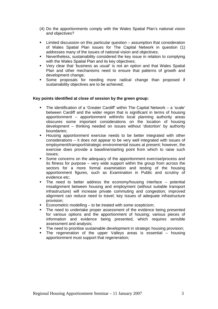- (4) Do the apportionments comply with the Wales Spatial Plan's national vision and objectives?
- Limited discussion on this particular question assumption that consideration of Wales Spatial Plan issues for The Capital Network in question (1) addresses many of the issues of national vision and objectives;
- Nevertheless, sustainability considered the key issue in relation to complying with the Wales Spatial Plan and its key objectives;
- Very clear that 'business as usual' is not an option and that Wales Spatial Plan and other mechanisms need to ensure that patterns of growth and development change;
- Some proposals for needing more radical change than proposed if sustainability objectives are to be achieved;

#### **Key points identified at close of session by the green group:**

- The identification of a 'Greater Cardiff' within The Capital Network a 'scale' between Cardiff and the wider region that is significant in terms of housing apportionment – apportionment within/to local planning authority areas obscures some important considerations on the location of housing development – thinking needed on issues without 'distortion' by authority boundaries;
- Housing apportionment exercise needs to be better integrated with other considerations – it does not appear to be very well integrated with issues of employment/transport/strategic environmental issues at present; however, the exercise does provide a baseline/starting point from which to raise such issues;
- Some concerns on the adequacy of the apportionment exercise/process and its fitness for purpose – very wide support within the group from across the sectors for a more formal examination and testing of the housing apportionment figures, such as Examination in Public and scrutiny of evidence etc;
- The need to better address the economy/housing interface potential misalignment between housing and employment (without suitable transport infrastructure) will increase private commuting and congestion; improved alignment can reduce need to travel; key issues of adequate infrastructure provision;
- Econometric modelling to be treated with some scepticism;
- The need to undertake proper assessment of the evidence being presented for various options and the apportionment of housing; various pieces of information and evidence being presented, which requires sensible assessment and analysis;
- The need to prioritise sustainable development in strategic housing provision;
- The regeneration of the upper Valleys areas is essential housing apportionment must support that regeneration;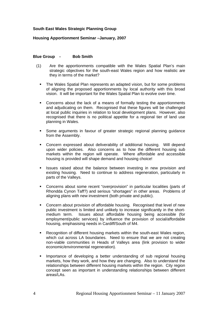#### **South East Wales Strategic Planning Group**

#### **Housing Apportionment Seminar –January, 2007**

#### **Blue Group - Bob Smith**

- (1) Are the apportionments compatible with the Wales Spatial Plan's main strategic objectives for the south-east Wales region and how realistic are they in terms of the market?
	- The Wales Spatial Plan represents an adapted vision, but for some problems of aligning the proposed apportionments by local authority with this broad vision. It will be important for the Wales Spatial Plan to evolve over time.
	- Concerns about the lack of a means of formally testing the apportionments and adjudicating on them. Recognised that these figures will be challenged at local public inquiries in relation to local development plans. However, also recognised that there is no political appetite for a regional tier of land use planning in Wales.
	- Some arguments in favour of greater strategic regional planning guidance from the Assembly.
	- Concern expressed about deliverability of additional housing. Will depend upon wider policies. Also concerns as to how the different housing sub markets within the region will operate. Where affordable and accessible housing is provided will shape demand and housing choice!
	- Issues raised about the balance between investing in new provision and existing housing. Need to continue to address regeneration, particularly in parts of the Valleys.
	- Concerns about some recent "overprovision" in particular localities (parts of Rhondda Cynon Taff?) and serious "shortages" in other areas. Problems of aligning plans with new investment (both private and public).
	- Concern about provision of affordable housing. Recognised that level of new public investment is limited and unlikely to increase significantly in the shortmedium term. Issues about affordable housing being accessible (for employment/public services) by influence the provision of social/affordable housing, emphasising needs in Cardiff/South of M4.
	- Recognition of different housing markets within the south-east Wales region, which cut across LA boundaries. Need to ensure that we are not creating non-viable communities in Heads of Valleys area (link provision to wider economic/environmental regeneration).
	- **IMPORTANCE OF DEVELOPTION A SETTER INTERFERITAL INCOCOLLY ASSESS** markets, how they work, and how they are changing. Also to understand the relationships between different housing markets within the region. City region concept seen as important in understanding relationships between different areas/LAs.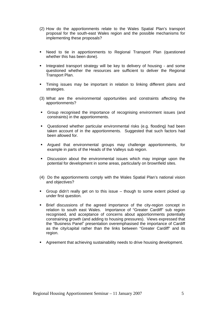- (2) How do the apportionments relate to the Wales Spatial Plan's transport proposal for the south-east Wales region and the possible mechanisms for implementing these proposals?
- Need to tie in apportionments to Regional Transport Plan (questioned whether this has been done).
- Integrated transport strategy will be key to delivery of housing and some questioned whether the resources are sufficient to deliver the Regional Transport Plan.
- Timing issues may be important in relation to linking different plans and strategies.
- (3) What are the environmental opportunities and constraints affecting the apportionments?
- Group recognised the importance of recognising environment issues (and constraints) in the apportionments.
- Questioned whether particular environmental risks (e.g. flooding) had been taken account of in the apportionments. Suggested that such factors had been allowed for.
- Argued that environmental groups may challenge apportionments, for example in parts of the Heads of the Valleys sub region.
- Discussion about the environmental issues which may impinge upon the potential for development in some areas, particularly on brownfield sites.
- (4) Do the apportionments comply with the Wales Spatial Plan's national vision and objectives?
- Group didn't really get on to this issue though to some extent picked up under first question.
- Brief discussions of the agreed importance of the city-region concept in relation to south east Wales. Importance of "Greater Cardiff" sub region recognised, and acceptance of concerns about apportionments potentially constraining growth (and adding to housing pressures). Views expressed that the "Business Panel" presentation overemphasised the importance of Cardiff as the city/capital rather than the links between "Greater Cardiff" and its region.
- **Agreement that achieving sustainability needs to drive housing development.**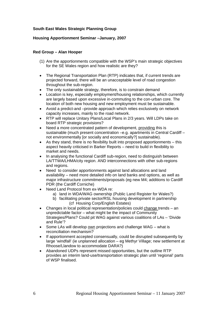## **South East Wales Strategic Planning Group**

## **Housing Apportionment Seminar –January, 2007**

## **Red Group – Alan Hooper**

- (1) Are the apportionments compatible with the WSP's main strategic objectives for the SE Wales region and how realistic are they?
- The Regional Transportation Plan (RTP) indicates that, if current trends are projected forward, there will be an unacceptable level of road congestion throughout the sub-region.
- The only sustainable strategy, therefore, is to constrain demand
- Location is key, especially employment/housing relationships, which currently are largely based upon excessive in-commuting to the con-urban core. The location of both new housing and new employment must be sustainable.
- Avoid a predict-and –provide approach which relies exclusively on network capacity increases, mainly to the road network.
- RTP will replace Unitary Plans/Local Plans in 2/3 years. Will LDPs take on board RTP strategic provisions?
- Need a more concentrated pattern of development, providing this is sustainable (much present concentration –e.g. apartments in Central Cardiff – not environmentally [or socially and economically?] sustainable).
- As they stand, there is no flexibility built into proposed apportionments this aspect heavily criticised in Barker Reports – need to build in flexibility to market and needs.
- In analysing the functional Cardiff sub-region, need to distinguish between LA/TTWA/LHMA/city region. AND interconnections with other sub-regions and regions.
- Need to consider apportionments against land allocations and land availability – need more detailed info on land banks and options, as well as major infrastructure commitments/proposals (eg new M4; additions to Cardiff PDR (the Cardiff Corniche)
- Need Land Protocol from ex-WDA re:
	- a) land in WDA/WAG ownership (Public Land Register for Wales?)
	- b) facilitating private sector/RSL housing development in partnership (cf Housing Corp/English Estates)
- Changes in local political representation/policies could change trends an unpredictable factor – what might be the impact of Community Strategies/Plans? Could pit WAG against various coalitions of LAs – 'Divide and Rule'?
- Some LAs will develop own projections and challenge WAG what is reconciliation mechanism?
- If apportionment accepted consensually, could be disrupted subsequently by large 'windfall' (ie unplanned allocation – eg Methyr Village; new settlement at Rhoose/Llandow to accommodate DARA?)
- Abandoned UDPs represent missed opportunities, but the outline RTP provides an interim land-use/transportation strategic plan until 'regional' parts of WSP finalised.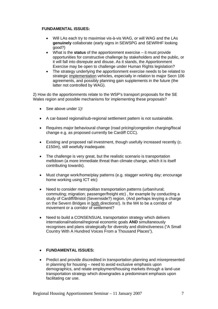#### **FUNDAMENTAL ISSUES:**

- Will LAs each try to maximise vis-à-vis WAG, or will WAG and the LAs **genuinely** collaborate (early signs in SEWSPG and SEWRHF looking good?)
- What is the **status** of the apportionment exercise it must provide opportunities for constructive challenge by stakeholders and the public, or it will fall into disrepute and disuse. As it stands, the Apportionment Exercise may be open to challenge under Human Rights legislation?
- The strategy underlying the apportionment exercise needs to be related to strategic implementation vehicles, especially in relation to major Secn 106 agreements, and possibly planning gain supplements in the future (the latter not controlled by WAG).

2) How do the apportionments relate to the WSP's transport proposals for the SE Wales region and possible mechanisms for implementing these proposals?

- See above under 1)!
- A car-based regional/sub-regional settlement pattern is not sustainable.
- Requires major behavioural change (road pricing/congestion charging/fiscal change e.g. as proposed currently be Cardiff CCC).
- Existing and proposed rail investment, though usefully increased recently (c. £150m), still woefully inadequate.
- The challenge is very great, but the realistic scenario is transportation meltdown (a more immediate threat than climate change, which it is itself contributing towards).
- Must change work/home/play patterns (e.g. stagger working day; encourage home working using ICT etc)
- Need to consider metropolitan transportation patterns (urban/rural; commuting; migration; passenger/freight etc) , for example by conducting a study of Cardiff/Bristol (Severnside?) region. (And perhaps levying a charge on the Severn Bridges in both directions!). Is the M4 to be a corridor of movement or a corridor of settlement?
- Need to build a CONSENSUAL transportation strategy which delivers international/national/regional economic goals **AND** simultaneously recognises and plans strategically for diversity and distinctiveness ("A Small Country With A Hundred Voices From a Thousand Places").

## • **FUNDAMENTAL ISSUES:**

• Predict and provide discredited in transportation planning and misrepresented in planning for housing – need to avoid exclusive emphasis upon demographics, and relate employment/housing markets through a land-use transportation strategy which downgrades a predominant emphasis upon facilitating car use.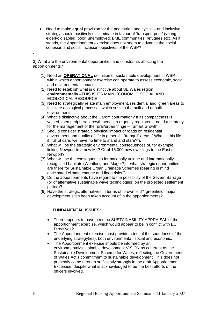• Need to make **equal** provision for the pedestrian and cyclist – and inclusive strategy should positively discriminate in favour of 'transport poor' (young; elderly; disabled; poor; unemployed; BME communities; refugees etc). As it stands, the Apportionment exercise does not seem to advance the social cohesion and social inclusion objectives of the WSP?

3) What are the environmental opportunities and constraints affecting the apportionments?

- (1) Need an **OPERATIONAL** definition of sustainable development in WSP within which apportionment exercise can operate to assess economic, social and environmental impacts.
- (2) Need to establish what is distinctive about SE Wales region **environmentally** –THIS IS ITS MAIN ECONOMIC, SOCIAL AND ECOLOGICAL RESOURCE.
- (3) Need to strategically relate main employment, residential and 'green'areas to facilitate ecological processes which sustain the built and unbuilt environments.
- (4) What is distinctive about the Cardiff conurbation? If its compactness is valued, then peripheral growth needs to urgently regulated – need a strategy for the management of the rural/urban fringe – ''Smart Growth'.
- (5) Should consider strategic physical impact of roads on residential environment and quality of life in general – 'tranquil' areas ("What is this life if, full of care, we have no time to stand and stare?").
- (6) What will be the strategic environmental consequences of, for example, linking Newport to a new M4? Or of 15,000 new dwellings to the East of Newport?
- (7) What will be the consequences for nationally unique and internationally recognised habitats (Wentloog and Magor?) – what strategic opportunities are there for Sustainable Urban Drainage Schemes (bearing in mind anticipated climate change and flood risks?)
- (8) Do the apportionments have regard to the possibility of the Severn Barrage (or of alternative sustainable wave technologies) on the projected settlement pattern?
- (9) Have the strategic alternatives in terms of 'brownfield'/ 'greenfield' major development sites been taken account of in the apportionments?

### **FUNDAMENTAL ISSUES:**

- There appears to have been no SUSTAINABILITY APPRAISAL of the apportionment exercise, which would appear to be in conflict with EU Directives?
- The Apportionment exercise must provide a test of the soundness of the underlying strategy(ies), both environmental, social and economic.
- The Apportionment exercise should be informed by an environmental/sustainable development VISION as coherent as the Sustainable Development Scheme for Wales, reflecting the Government of Wales Act's commitment to sustainable development. This does not presently come through sufficiently strongly in the draft Apportionment Excercise, despite what is acknowledged to be the best efforts of the officers involved.

.